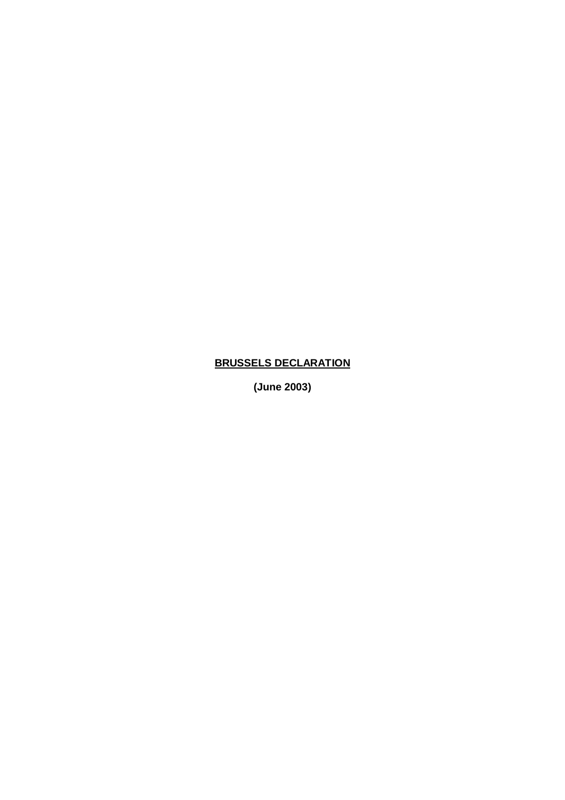## **BRUSSELS DECLARATION**

**(June 2003)**